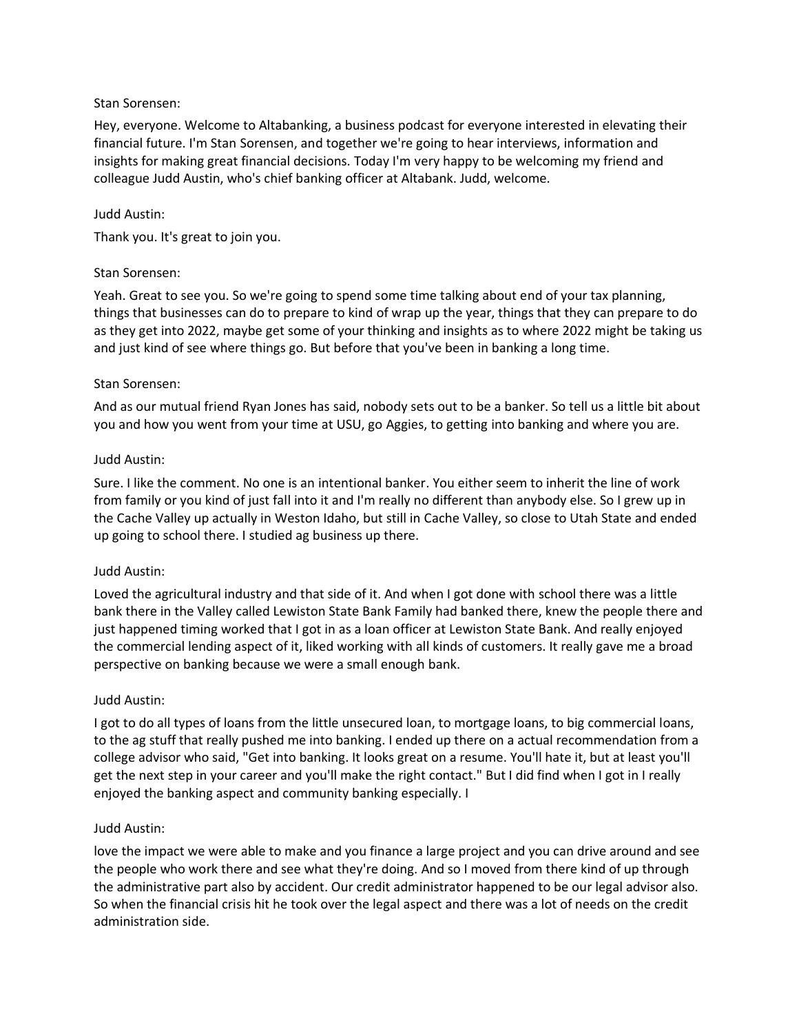Hey, everyone. Welcome to Altabanking, a business podcast for everyone interested in elevating their financial future. I'm Stan Sorensen, and together we're going to hear interviews, information and insights for making great financial decisions. Today I'm very happy to be welcoming my friend and colleague Judd Austin, who's chief banking officer at Altabank. Judd, welcome.

## Judd Austin:

Thank you. It's great to join you.

## Stan Sorensen:

Yeah. Great to see you. So we're going to spend some time talking about end of your tax planning, things that businesses can do to prepare to kind of wrap up the year, things that they can prepare to do as they get into 2022, maybe get some of your thinking and insights as to where 2022 might be taking us and just kind of see where things go. But before that you've been in banking a long time.

## Stan Sorensen:

And as our mutual friend Ryan Jones has said, nobody sets out to be a banker. So tell us a little bit about you and how you went from your time at USU, go Aggies, to getting into banking and where you are.

## Judd Austin:

Sure. I like the comment. No one is an intentional banker. You either seem to inherit the line of work from family or you kind of just fall into it and I'm really no different than anybody else. So I grew up in the Cache Valley up actually in Weston Idaho, but still in Cache Valley, so close to Utah State and ended up going to school there. I studied ag business up there.

#### Judd Austin:

Loved the agricultural industry and that side of it. And when I got done with school there was a little bank there in the Valley called Lewiston State Bank Family had banked there, knew the people there and just happened timing worked that I got in as a loan officer at Lewiston State Bank. And really enjoyed the commercial lending aspect of it, liked working with all kinds of customers. It really gave me a broad perspective on banking because we were a small enough bank.

#### Judd Austin:

I got to do all types of loans from the little unsecured loan, to mortgage loans, to big commercial loans, to the ag stuff that really pushed me into banking. I ended up there on a actual recommendation from a college advisor who said, "Get into banking. It looks great on a resume. You'll hate it, but at least you'll get the next step in your career and you'll make the right contact." But I did find when I got in I really enjoyed the banking aspect and community banking especially. I

#### Judd Austin:

love the impact we were able to make and you finance a large project and you can drive around and see the people who work there and see what they're doing. And so I moved from there kind of up through the administrative part also by accident. Our credit administrator happened to be our legal advisor also. So when the financial crisis hit he took over the legal aspect and there was a lot of needs on the credit administration side.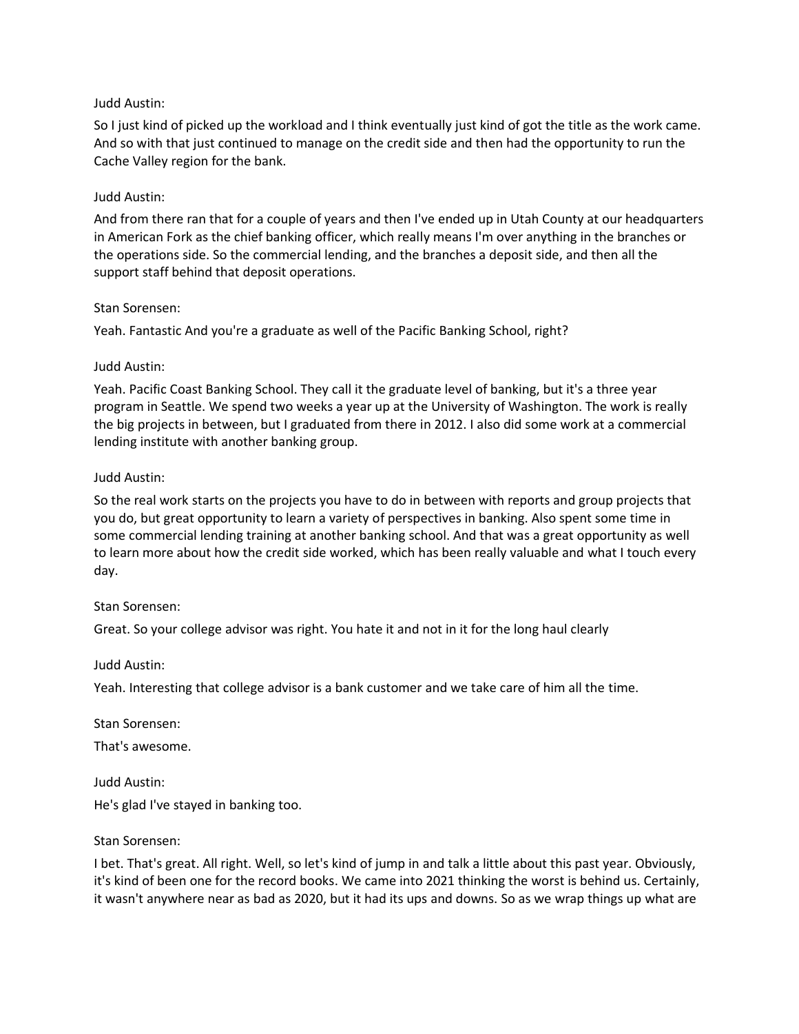So I just kind of picked up the workload and I think eventually just kind of got the title as the work came. And so with that just continued to manage on the credit side and then had the opportunity to run the Cache Valley region for the bank.

# Judd Austin:

And from there ran that for a couple of years and then I've ended up in Utah County at our headquarters in American Fork as the chief banking officer, which really means I'm over anything in the branches or the operations side. So the commercial lending, and the branches a deposit side, and then all the support staff behind that deposit operations.

#### Stan Sorensen:

Yeah. Fantastic And you're a graduate as well of the Pacific Banking School, right?

## Judd Austin:

Yeah. Pacific Coast Banking School. They call it the graduate level of banking, but it's a three year program in Seattle. We spend two weeks a year up at the University of Washington. The work is really the big projects in between, but I graduated from there in 2012. I also did some work at a commercial lending institute with another banking group.

## Judd Austin:

So the real work starts on the projects you have to do in between with reports and group projects that you do, but great opportunity to learn a variety of perspectives in banking. Also spent some time in some commercial lending training at another banking school. And that was a great opportunity as well to learn more about how the credit side worked, which has been really valuable and what I touch every day.

# Stan Sorensen:

Great. So your college advisor was right. You hate it and not in it for the long haul clearly

# Judd Austin:

Yeah. Interesting that college advisor is a bank customer and we take care of him all the time.

Stan Sorensen:

That's awesome.

Judd Austin: He's glad I've stayed in banking too.

#### Stan Sorensen:

I bet. That's great. All right. Well, so let's kind of jump in and talk a little about this past year. Obviously, it's kind of been one for the record books. We came into 2021 thinking the worst is behind us. Certainly, it wasn't anywhere near as bad as 2020, but it had its ups and downs. So as we wrap things up what are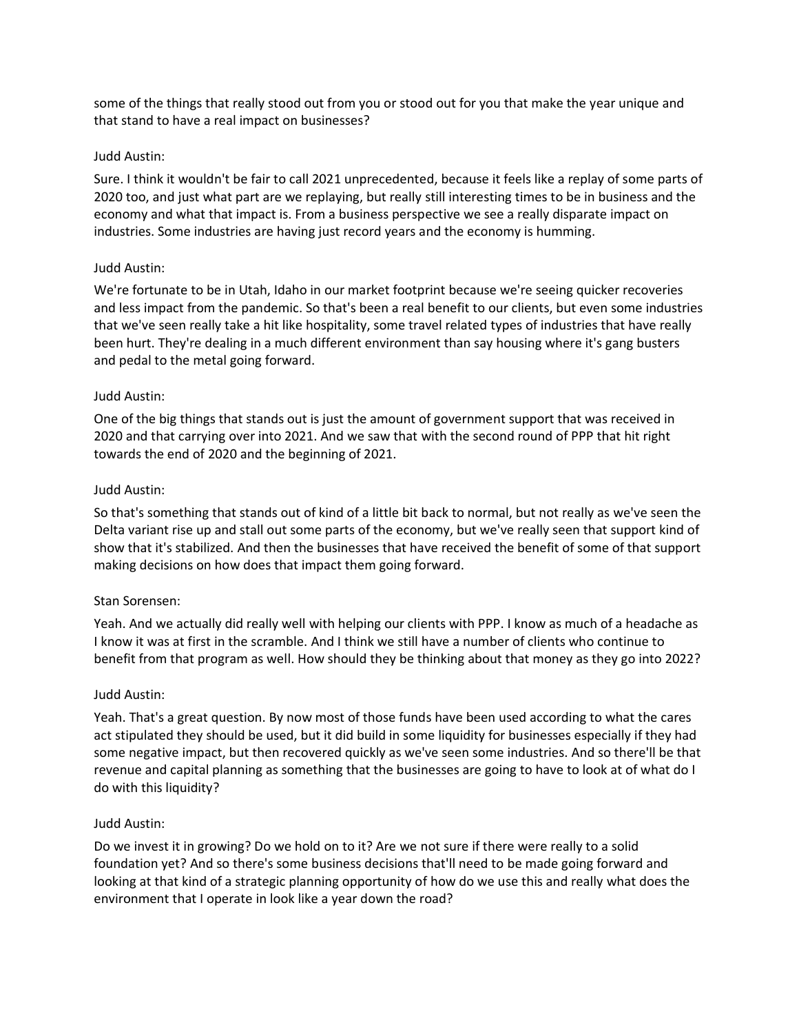some of the things that really stood out from you or stood out for you that make the year unique and that stand to have a real impact on businesses?

# Judd Austin:

Sure. I think it wouldn't be fair to call 2021 unprecedented, because it feels like a replay of some parts of 2020 too, and just what part are we replaying, but really still interesting times to be in business and the economy and what that impact is. From a business perspective we see a really disparate impact on industries. Some industries are having just record years and the economy is humming.

## Judd Austin:

We're fortunate to be in Utah, Idaho in our market footprint because we're seeing quicker recoveries and less impact from the pandemic. So that's been a real benefit to our clients, but even some industries that we've seen really take a hit like hospitality, some travel related types of industries that have really been hurt. They're dealing in a much different environment than say housing where it's gang busters and pedal to the metal going forward.

## Judd Austin:

One of the big things that stands out is just the amount of government support that was received in 2020 and that carrying over into 2021. And we saw that with the second round of PPP that hit right towards the end of 2020 and the beginning of 2021.

## Judd Austin:

So that's something that stands out of kind of a little bit back to normal, but not really as we've seen the Delta variant rise up and stall out some parts of the economy, but we've really seen that support kind of show that it's stabilized. And then the businesses that have received the benefit of some of that support making decisions on how does that impact them going forward.

# Stan Sorensen:

Yeah. And we actually did really well with helping our clients with PPP. I know as much of a headache as I know it was at first in the scramble. And I think we still have a number of clients who continue to benefit from that program as well. How should they be thinking about that money as they go into 2022?

#### Judd Austin:

Yeah. That's a great question. By now most of those funds have been used according to what the cares act stipulated they should be used, but it did build in some liquidity for businesses especially if they had some negative impact, but then recovered quickly as we've seen some industries. And so there'll be that revenue and capital planning as something that the businesses are going to have to look at of what do I do with this liquidity?

#### Judd Austin:

Do we invest it in growing? Do we hold on to it? Are we not sure if there were really to a solid foundation yet? And so there's some business decisions that'll need to be made going forward and looking at that kind of a strategic planning opportunity of how do we use this and really what does the environment that I operate in look like a year down the road?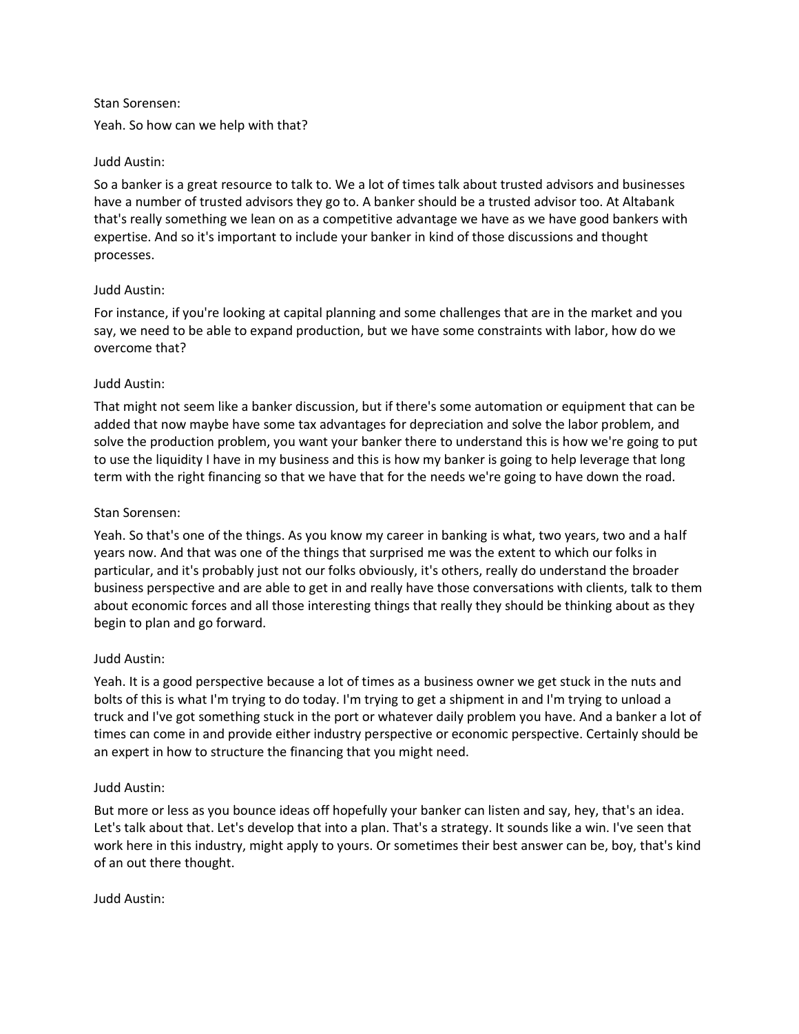Yeah. So how can we help with that?

# Judd Austin:

So a banker is a great resource to talk to. We a lot of times talk about trusted advisors and businesses have a number of trusted advisors they go to. A banker should be a trusted advisor too. At Altabank that's really something we lean on as a competitive advantage we have as we have good bankers with expertise. And so it's important to include your banker in kind of those discussions and thought processes.

# Judd Austin:

For instance, if you're looking at capital planning and some challenges that are in the market and you say, we need to be able to expand production, but we have some constraints with labor, how do we overcome that?

# Judd Austin:

That might not seem like a banker discussion, but if there's some automation or equipment that can be added that now maybe have some tax advantages for depreciation and solve the labor problem, and solve the production problem, you want your banker there to understand this is how we're going to put to use the liquidity I have in my business and this is how my banker is going to help leverage that long term with the right financing so that we have that for the needs we're going to have down the road.

# Stan Sorensen:

Yeah. So that's one of the things. As you know my career in banking is what, two years, two and a half years now. And that was one of the things that surprised me was the extent to which our folks in particular, and it's probably just not our folks obviously, it's others, really do understand the broader business perspective and are able to get in and really have those conversations with clients, talk to them about economic forces and all those interesting things that really they should be thinking about as they begin to plan and go forward.

# Judd Austin:

Yeah. It is a good perspective because a lot of times as a business owner we get stuck in the nuts and bolts of this is what I'm trying to do today. I'm trying to get a shipment in and I'm trying to unload a truck and I've got something stuck in the port or whatever daily problem you have. And a banker a lot of times can come in and provide either industry perspective or economic perspective. Certainly should be an expert in how to structure the financing that you might need.

# Judd Austin:

But more or less as you bounce ideas off hopefully your banker can listen and say, hey, that's an idea. Let's talk about that. Let's develop that into a plan. That's a strategy. It sounds like a win. I've seen that work here in this industry, might apply to yours. Or sometimes their best answer can be, boy, that's kind of an out there thought.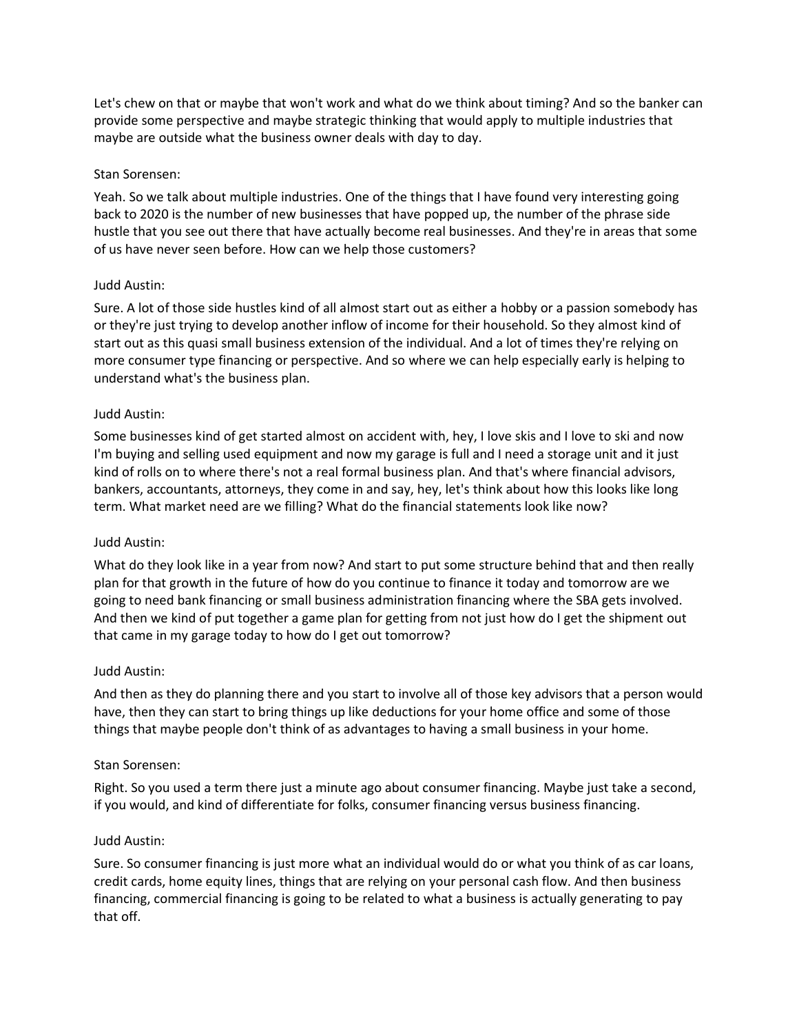Let's chew on that or maybe that won't work and what do we think about timing? And so the banker can provide some perspective and maybe strategic thinking that would apply to multiple industries that maybe are outside what the business owner deals with day to day.

# Stan Sorensen:

Yeah. So we talk about multiple industries. One of the things that I have found very interesting going back to 2020 is the number of new businesses that have popped up, the number of the phrase side hustle that you see out there that have actually become real businesses. And they're in areas that some of us have never seen before. How can we help those customers?

## Judd Austin:

Sure. A lot of those side hustles kind of all almost start out as either a hobby or a passion somebody has or they're just trying to develop another inflow of income for their household. So they almost kind of start out as this quasi small business extension of the individual. And a lot of times they're relying on more consumer type financing or perspective. And so where we can help especially early is helping to understand what's the business plan.

## Judd Austin:

Some businesses kind of get started almost on accident with, hey, I love skis and I love to ski and now I'm buying and selling used equipment and now my garage is full and I need a storage unit and it just kind of rolls on to where there's not a real formal business plan. And that's where financial advisors, bankers, accountants, attorneys, they come in and say, hey, let's think about how this looks like long term. What market need are we filling? What do the financial statements look like now?

# Judd Austin:

What do they look like in a year from now? And start to put some structure behind that and then really plan for that growth in the future of how do you continue to finance it today and tomorrow are we going to need bank financing or small business administration financing where the SBA gets involved. And then we kind of put together a game plan for getting from not just how do I get the shipment out that came in my garage today to how do I get out tomorrow?

# Judd Austin:

And then as they do planning there and you start to involve all of those key advisors that a person would have, then they can start to bring things up like deductions for your home office and some of those things that maybe people don't think of as advantages to having a small business in your home.

# Stan Sorensen:

Right. So you used a term there just a minute ago about consumer financing. Maybe just take a second, if you would, and kind of differentiate for folks, consumer financing versus business financing.

#### Judd Austin:

Sure. So consumer financing is just more what an individual would do or what you think of as car loans, credit cards, home equity lines, things that are relying on your personal cash flow. And then business financing, commercial financing is going to be related to what a business is actually generating to pay that off.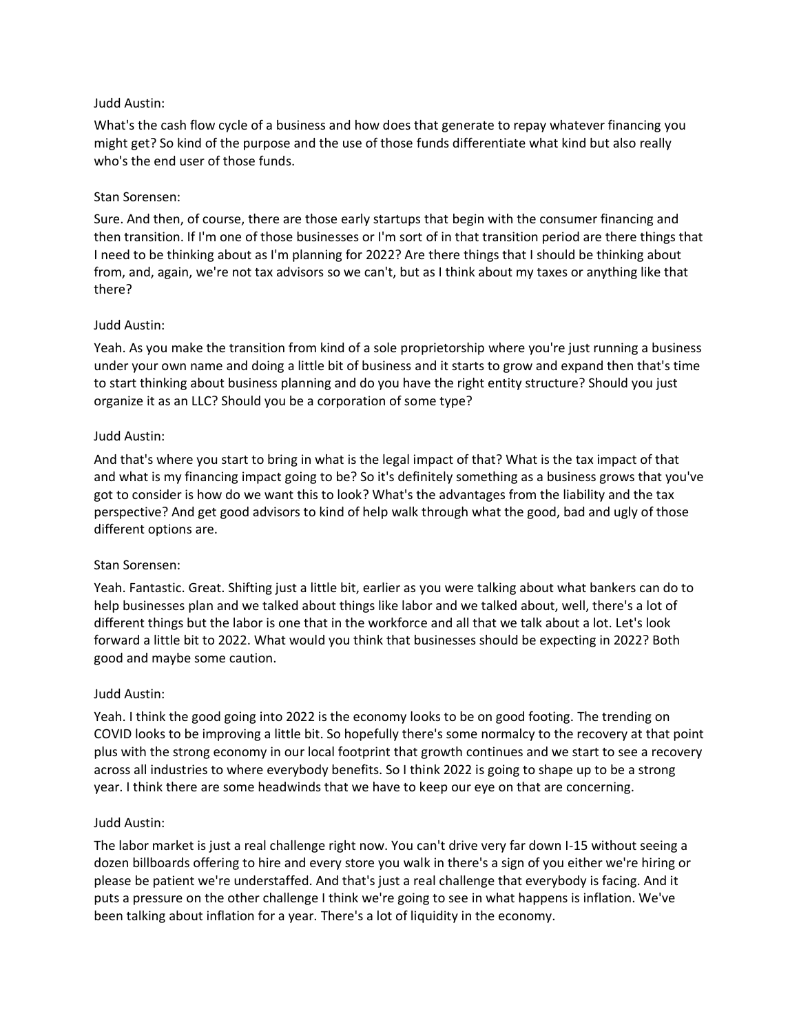What's the cash flow cycle of a business and how does that generate to repay whatever financing you might get? So kind of the purpose and the use of those funds differentiate what kind but also really who's the end user of those funds.

## Stan Sorensen:

Sure. And then, of course, there are those early startups that begin with the consumer financing and then transition. If I'm one of those businesses or I'm sort of in that transition period are there things that I need to be thinking about as I'm planning for 2022? Are there things that I should be thinking about from, and, again, we're not tax advisors so we can't, but as I think about my taxes or anything like that there?

## Judd Austin:

Yeah. As you make the transition from kind of a sole proprietorship where you're just running a business under your own name and doing a little bit of business and it starts to grow and expand then that's time to start thinking about business planning and do you have the right entity structure? Should you just organize it as an LLC? Should you be a corporation of some type?

## Judd Austin:

And that's where you start to bring in what is the legal impact of that? What is the tax impact of that and what is my financing impact going to be? So it's definitely something as a business grows that you've got to consider is how do we want this to look? What's the advantages from the liability and the tax perspective? And get good advisors to kind of help walk through what the good, bad and ugly of those different options are.

# Stan Sorensen:

Yeah. Fantastic. Great. Shifting just a little bit, earlier as you were talking about what bankers can do to help businesses plan and we talked about things like labor and we talked about, well, there's a lot of different things but the labor is one that in the workforce and all that we talk about a lot. Let's look forward a little bit to 2022. What would you think that businesses should be expecting in 2022? Both good and maybe some caution.

#### Judd Austin:

Yeah. I think the good going into 2022 is the economy looks to be on good footing. The trending on COVID looks to be improving a little bit. So hopefully there's some normalcy to the recovery at that point plus with the strong economy in our local footprint that growth continues and we start to see a recovery across all industries to where everybody benefits. So I think 2022 is going to shape up to be a strong year. I think there are some headwinds that we have to keep our eye on that are concerning.

#### Judd Austin:

The labor market is just a real challenge right now. You can't drive very far down I-15 without seeing a dozen billboards offering to hire and every store you walk in there's a sign of you either we're hiring or please be patient we're understaffed. And that's just a real challenge that everybody is facing. And it puts a pressure on the other challenge I think we're going to see in what happens is inflation. We've been talking about inflation for a year. There's a lot of liquidity in the economy.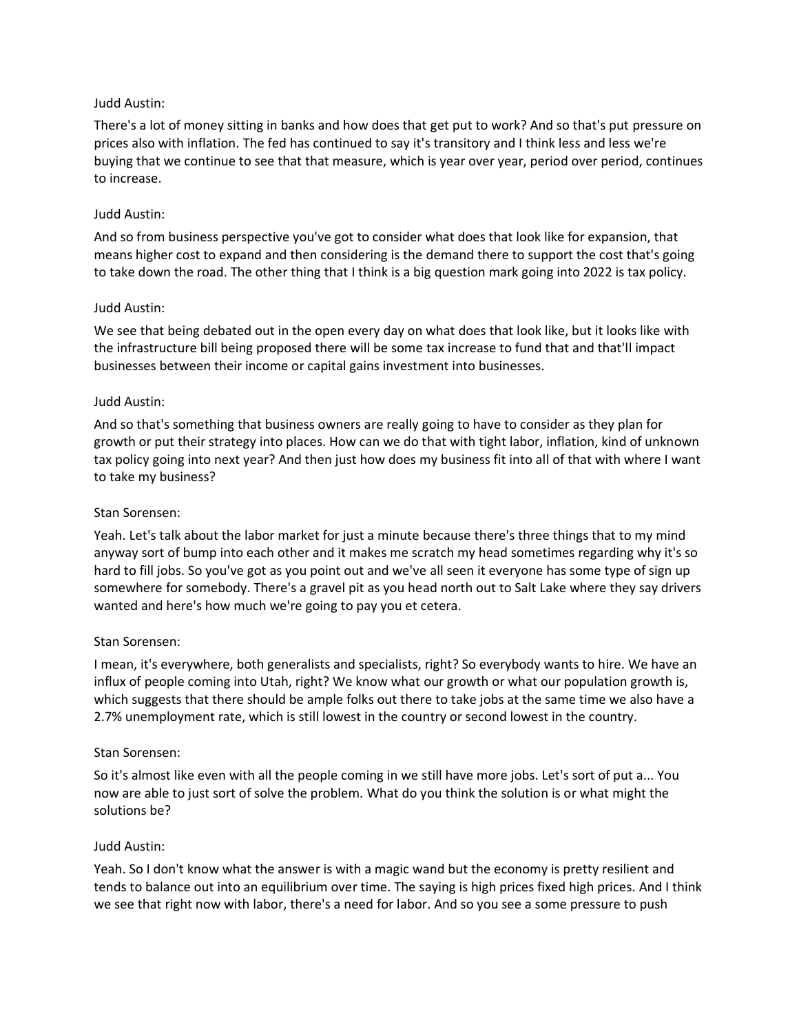There's a lot of money sitting in banks and how does that get put to work? And so that's put pressure on prices also with inflation. The fed has continued to say it's transitory and I think less and less we're buying that we continue to see that that measure, which is year over year, period over period, continues to increase.

# Judd Austin:

And so from business perspective you've got to consider what does that look like for expansion, that means higher cost to expand and then considering is the demand there to support the cost that's going to take down the road. The other thing that I think is a big question mark going into 2022 is tax policy.

## Judd Austin:

We see that being debated out in the open every day on what does that look like, but it looks like with the infrastructure bill being proposed there will be some tax increase to fund that and that'll impact businesses between their income or capital gains investment into businesses.

## Judd Austin:

And so that's something that business owners are really going to have to consider as they plan for growth or put their strategy into places. How can we do that with tight labor, inflation, kind of unknown tax policy going into next year? And then just how does my business fit into all of that with where I want to take my business?

# Stan Sorensen:

Yeah. Let's talk about the labor market for just a minute because there's three things that to my mind anyway sort of bump into each other and it makes me scratch my head sometimes regarding why it's so hard to fill jobs. So you've got as you point out and we've all seen it everyone has some type of sign up somewhere for somebody. There's a gravel pit as you head north out to Salt Lake where they say drivers wanted and here's how much we're going to pay you et cetera.

# Stan Sorensen:

I mean, it's everywhere, both generalists and specialists, right? So everybody wants to hire. We have an influx of people coming into Utah, right? We know what our growth or what our population growth is, which suggests that there should be ample folks out there to take jobs at the same time we also have a 2.7% unemployment rate, which is still lowest in the country or second lowest in the country.

#### Stan Sorensen:

So it's almost like even with all the people coming in we still have more jobs. Let's sort of put a... You now are able to just sort of solve the problem. What do you think the solution is or what might the solutions be?

#### Judd Austin:

Yeah. So I don't know what the answer is with a magic wand but the economy is pretty resilient and tends to balance out into an equilibrium over time. The saying is high prices fixed high prices. And I think we see that right now with labor, there's a need for labor. And so you see a some pressure to push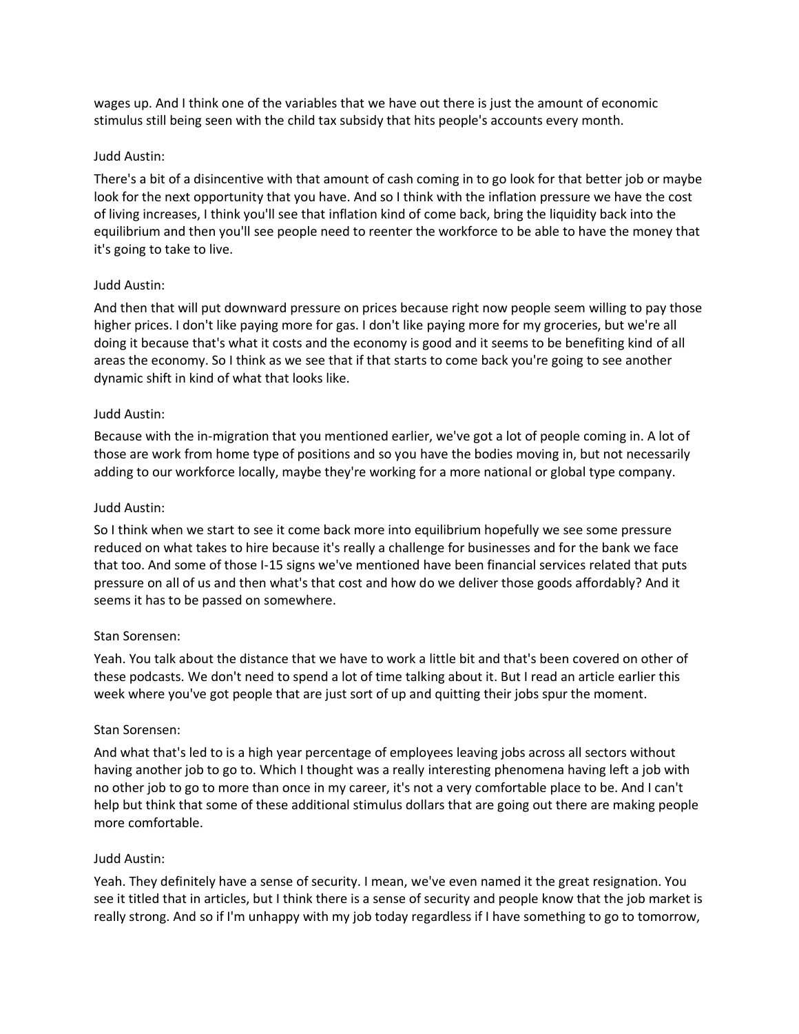wages up. And I think one of the variables that we have out there is just the amount of economic stimulus still being seen with the child tax subsidy that hits people's accounts every month.

#### Judd Austin:

There's a bit of a disincentive with that amount of cash coming in to go look for that better job or maybe look for the next opportunity that you have. And so I think with the inflation pressure we have the cost of living increases, I think you'll see that inflation kind of come back, bring the liquidity back into the equilibrium and then you'll see people need to reenter the workforce to be able to have the money that it's going to take to live.

#### Judd Austin:

And then that will put downward pressure on prices because right now people seem willing to pay those higher prices. I don't like paying more for gas. I don't like paying more for my groceries, but we're all doing it because that's what it costs and the economy is good and it seems to be benefiting kind of all areas the economy. So I think as we see that if that starts to come back you're going to see another dynamic shift in kind of what that looks like.

#### Judd Austin:

Because with the in-migration that you mentioned earlier, we've got a lot of people coming in. A lot of those are work from home type of positions and so you have the bodies moving in, but not necessarily adding to our workforce locally, maybe they're working for a more national or global type company.

#### Judd Austin:

So I think when we start to see it come back more into equilibrium hopefully we see some pressure reduced on what takes to hire because it's really a challenge for businesses and for the bank we face that too. And some of those I-15 signs we've mentioned have been financial services related that puts pressure on all of us and then what's that cost and how do we deliver those goods affordably? And it seems it has to be passed on somewhere.

#### Stan Sorensen:

Yeah. You talk about the distance that we have to work a little bit and that's been covered on other of these podcasts. We don't need to spend a lot of time talking about it. But I read an article earlier this week where you've got people that are just sort of up and quitting their jobs spur the moment.

#### Stan Sorensen:

And what that's led to is a high year percentage of employees leaving jobs across all sectors without having another job to go to. Which I thought was a really interesting phenomena having left a job with no other job to go to more than once in my career, it's not a very comfortable place to be. And I can't help but think that some of these additional stimulus dollars that are going out there are making people more comfortable.

#### Judd Austin:

Yeah. They definitely have a sense of security. I mean, we've even named it the great resignation. You see it titled that in articles, but I think there is a sense of security and people know that the job market is really strong. And so if I'm unhappy with my job today regardless if I have something to go to tomorrow,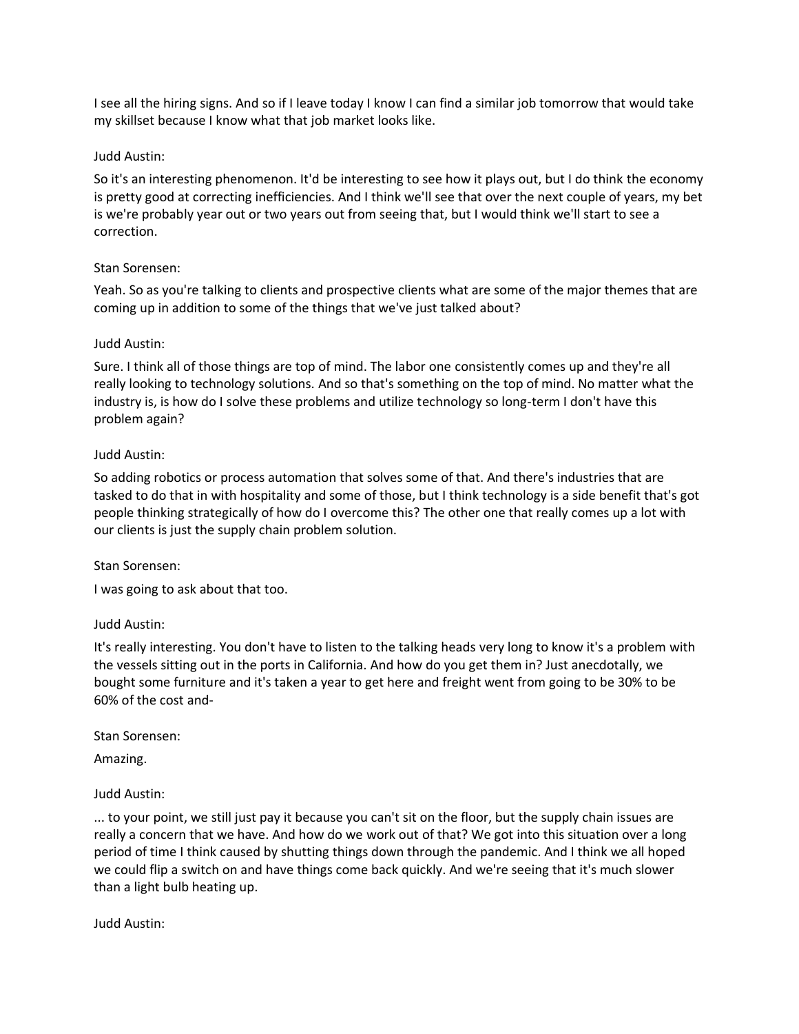I see all the hiring signs. And so if I leave today I know I can find a similar job tomorrow that would take my skillset because I know what that job market looks like.

# Judd Austin:

So it's an interesting phenomenon. It'd be interesting to see how it plays out, but I do think the economy is pretty good at correcting inefficiencies. And I think we'll see that over the next couple of years, my bet is we're probably year out or two years out from seeing that, but I would think we'll start to see a correction.

# Stan Sorensen:

Yeah. So as you're talking to clients and prospective clients what are some of the major themes that are coming up in addition to some of the things that we've just talked about?

# Judd Austin:

Sure. I think all of those things are top of mind. The labor one consistently comes up and they're all really looking to technology solutions. And so that's something on the top of mind. No matter what the industry is, is how do I solve these problems and utilize technology so long-term I don't have this problem again?

# Judd Austin:

So adding robotics or process automation that solves some of that. And there's industries that are tasked to do that in with hospitality and some of those, but I think technology is a side benefit that's got people thinking strategically of how do I overcome this? The other one that really comes up a lot with our clients is just the supply chain problem solution.

# Stan Sorensen:

I was going to ask about that too.

# Judd Austin:

It's really interesting. You don't have to listen to the talking heads very long to know it's a problem with the vessels sitting out in the ports in California. And how do you get them in? Just anecdotally, we bought some furniture and it's taken a year to get here and freight went from going to be 30% to be 60% of the cost and-

# Stan Sorensen:

Amazing.

# Judd Austin:

... to your point, we still just pay it because you can't sit on the floor, but the supply chain issues are really a concern that we have. And how do we work out of that? We got into this situation over a long period of time I think caused by shutting things down through the pandemic. And I think we all hoped we could flip a switch on and have things come back quickly. And we're seeing that it's much slower than a light bulb heating up.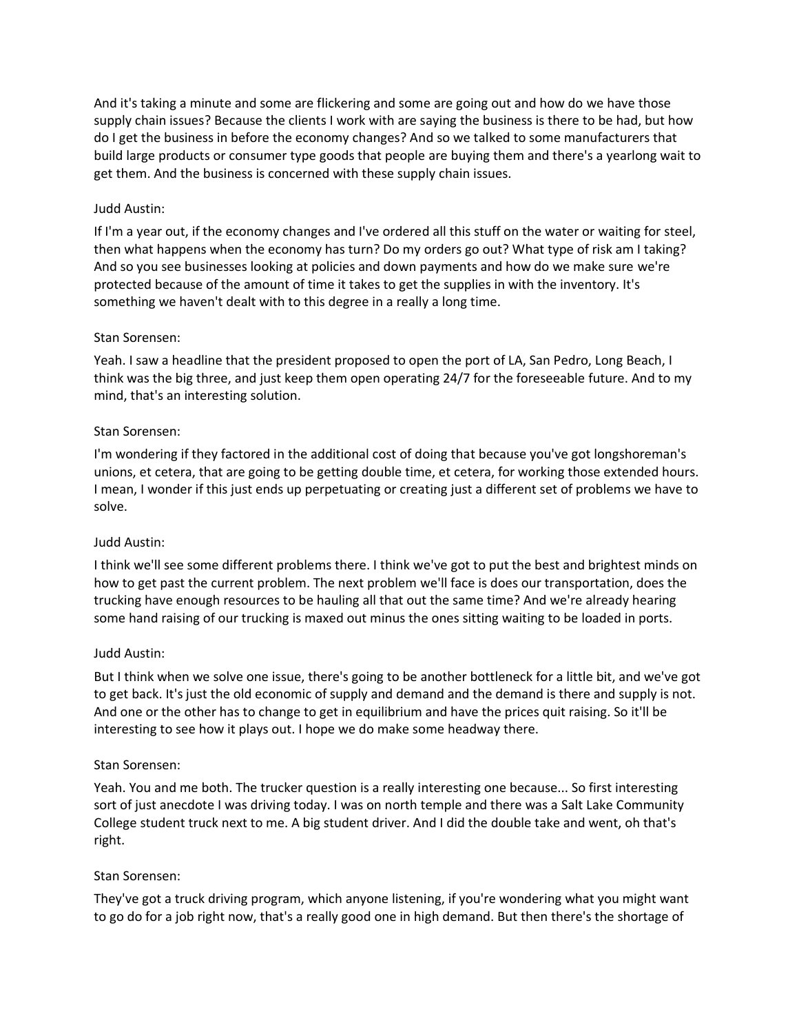And it's taking a minute and some are flickering and some are going out and how do we have those supply chain issues? Because the clients I work with are saying the business is there to be had, but how do I get the business in before the economy changes? And so we talked to some manufacturers that build large products or consumer type goods that people are buying them and there's a yearlong wait to get them. And the business is concerned with these supply chain issues.

## Judd Austin:

If I'm a year out, if the economy changes and I've ordered all this stuff on the water or waiting for steel, then what happens when the economy has turn? Do my orders go out? What type of risk am I taking? And so you see businesses looking at policies and down payments and how do we make sure we're protected because of the amount of time it takes to get the supplies in with the inventory. It's something we haven't dealt with to this degree in a really a long time.

## Stan Sorensen:

Yeah. I saw a headline that the president proposed to open the port of LA, San Pedro, Long Beach, I think was the big three, and just keep them open operating 24/7 for the foreseeable future. And to my mind, that's an interesting solution.

## Stan Sorensen:

I'm wondering if they factored in the additional cost of doing that because you've got longshoreman's unions, et cetera, that are going to be getting double time, et cetera, for working those extended hours. I mean, I wonder if this just ends up perpetuating or creating just a different set of problems we have to solve.

#### Judd Austin:

I think we'll see some different problems there. I think we've got to put the best and brightest minds on how to get past the current problem. The next problem we'll face is does our transportation, does the trucking have enough resources to be hauling all that out the same time? And we're already hearing some hand raising of our trucking is maxed out minus the ones sitting waiting to be loaded in ports.

#### Judd Austin:

But I think when we solve one issue, there's going to be another bottleneck for a little bit, and we've got to get back. It's just the old economic of supply and demand and the demand is there and supply is not. And one or the other has to change to get in equilibrium and have the prices quit raising. So it'll be interesting to see how it plays out. I hope we do make some headway there.

#### Stan Sorensen:

Yeah. You and me both. The trucker question is a really interesting one because... So first interesting sort of just anecdote I was driving today. I was on north temple and there was a Salt Lake Community College student truck next to me. A big student driver. And I did the double take and went, oh that's right.

#### Stan Sorensen:

They've got a truck driving program, which anyone listening, if you're wondering what you might want to go do for a job right now, that's a really good one in high demand. But then there's the shortage of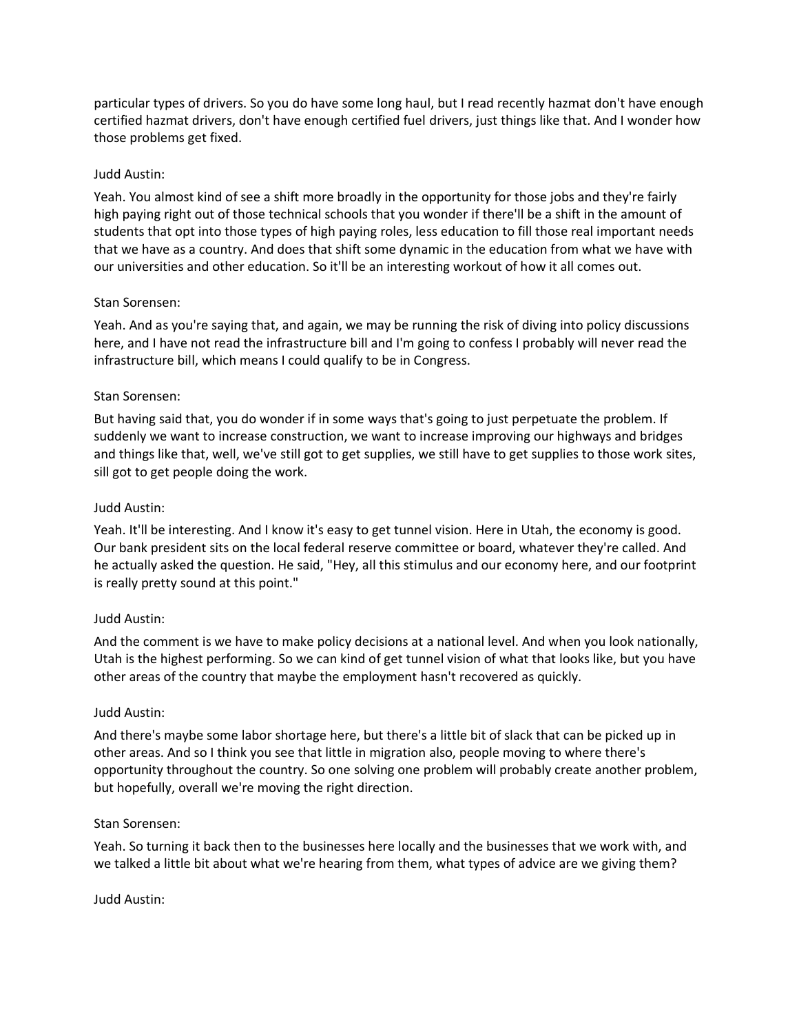particular types of drivers. So you do have some long haul, but I read recently hazmat don't have enough certified hazmat drivers, don't have enough certified fuel drivers, just things like that. And I wonder how those problems get fixed.

# Judd Austin:

Yeah. You almost kind of see a shift more broadly in the opportunity for those jobs and they're fairly high paying right out of those technical schools that you wonder if there'll be a shift in the amount of students that opt into those types of high paying roles, less education to fill those real important needs that we have as a country. And does that shift some dynamic in the education from what we have with our universities and other education. So it'll be an interesting workout of how it all comes out.

## Stan Sorensen:

Yeah. And as you're saying that, and again, we may be running the risk of diving into policy discussions here, and I have not read the infrastructure bill and I'm going to confess I probably will never read the infrastructure bill, which means I could qualify to be in Congress.

## Stan Sorensen:

But having said that, you do wonder if in some ways that's going to just perpetuate the problem. If suddenly we want to increase construction, we want to increase improving our highways and bridges and things like that, well, we've still got to get supplies, we still have to get supplies to those work sites, sill got to get people doing the work.

## Judd Austin:

Yeah. It'll be interesting. And I know it's easy to get tunnel vision. Here in Utah, the economy is good. Our bank president sits on the local federal reserve committee or board, whatever they're called. And he actually asked the question. He said, "Hey, all this stimulus and our economy here, and our footprint is really pretty sound at this point."

### Judd Austin:

And the comment is we have to make policy decisions at a national level. And when you look nationally, Utah is the highest performing. So we can kind of get tunnel vision of what that looks like, but you have other areas of the country that maybe the employment hasn't recovered as quickly.

#### Judd Austin:

And there's maybe some labor shortage here, but there's a little bit of slack that can be picked up in other areas. And so I think you see that little in migration also, people moving to where there's opportunity throughout the country. So one solving one problem will probably create another problem, but hopefully, overall we're moving the right direction.

#### Stan Sorensen:

Yeah. So turning it back then to the businesses here locally and the businesses that we work with, and we talked a little bit about what we're hearing from them, what types of advice are we giving them?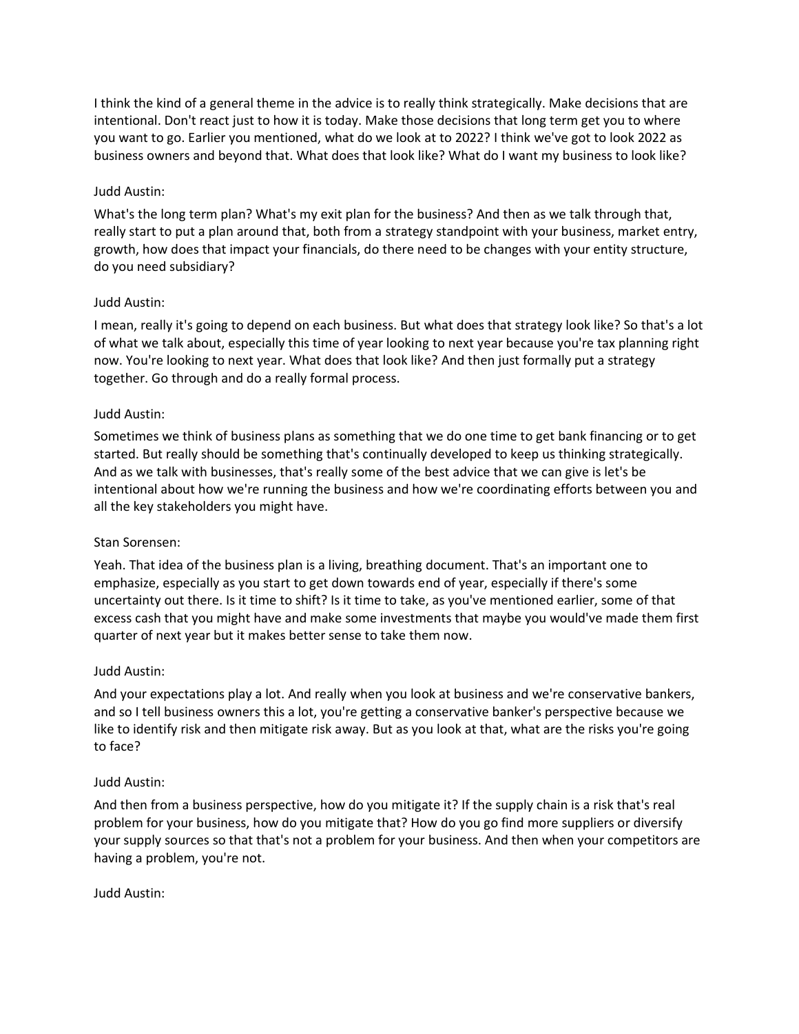I think the kind of a general theme in the advice is to really think strategically. Make decisions that are intentional. Don't react just to how it is today. Make those decisions that long term get you to where you want to go. Earlier you mentioned, what do we look at to 2022? I think we've got to look 2022 as business owners and beyond that. What does that look like? What do I want my business to look like?

# Judd Austin:

What's the long term plan? What's my exit plan for the business? And then as we talk through that, really start to put a plan around that, both from a strategy standpoint with your business, market entry, growth, how does that impact your financials, do there need to be changes with your entity structure, do you need subsidiary?

# Judd Austin:

I mean, really it's going to depend on each business. But what does that strategy look like? So that's a lot of what we talk about, especially this time of year looking to next year because you're tax planning right now. You're looking to next year. What does that look like? And then just formally put a strategy together. Go through and do a really formal process.

# Judd Austin:

Sometimes we think of business plans as something that we do one time to get bank financing or to get started. But really should be something that's continually developed to keep us thinking strategically. And as we talk with businesses, that's really some of the best advice that we can give is let's be intentional about how we're running the business and how we're coordinating efforts between you and all the key stakeholders you might have.

# Stan Sorensen:

Yeah. That idea of the business plan is a living, breathing document. That's an important one to emphasize, especially as you start to get down towards end of year, especially if there's some uncertainty out there. Is it time to shift? Is it time to take, as you've mentioned earlier, some of that excess cash that you might have and make some investments that maybe you would've made them first quarter of next year but it makes better sense to take them now.

# Judd Austin:

And your expectations play a lot. And really when you look at business and we're conservative bankers, and so I tell business owners this a lot, you're getting a conservative banker's perspective because we like to identify risk and then mitigate risk away. But as you look at that, what are the risks you're going to face?

# Judd Austin:

And then from a business perspective, how do you mitigate it? If the supply chain is a risk that's real problem for your business, how do you mitigate that? How do you go find more suppliers or diversify your supply sources so that that's not a problem for your business. And then when your competitors are having a problem, you're not.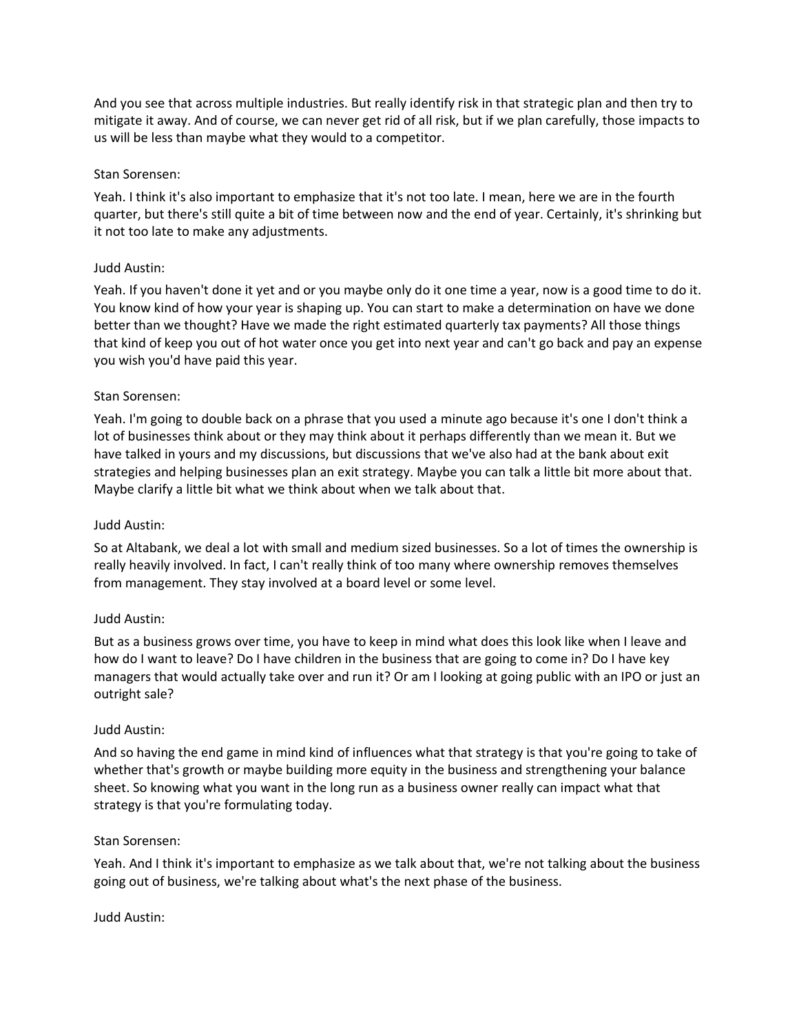And you see that across multiple industries. But really identify risk in that strategic plan and then try to mitigate it away. And of course, we can never get rid of all risk, but if we plan carefully, those impacts to us will be less than maybe what they would to a competitor.

# Stan Sorensen:

Yeah. I think it's also important to emphasize that it's not too late. I mean, here we are in the fourth quarter, but there's still quite a bit of time between now and the end of year. Certainly, it's shrinking but it not too late to make any adjustments.

## Judd Austin:

Yeah. If you haven't done it yet and or you maybe only do it one time a year, now is a good time to do it. You know kind of how your year is shaping up. You can start to make a determination on have we done better than we thought? Have we made the right estimated quarterly tax payments? All those things that kind of keep you out of hot water once you get into next year and can't go back and pay an expense you wish you'd have paid this year.

## Stan Sorensen:

Yeah. I'm going to double back on a phrase that you used a minute ago because it's one I don't think a lot of businesses think about or they may think about it perhaps differently than we mean it. But we have talked in yours and my discussions, but discussions that we've also had at the bank about exit strategies and helping businesses plan an exit strategy. Maybe you can talk a little bit more about that. Maybe clarify a little bit what we think about when we talk about that.

#### Judd Austin:

So at Altabank, we deal a lot with small and medium sized businesses. So a lot of times the ownership is really heavily involved. In fact, I can't really think of too many where ownership removes themselves from management. They stay involved at a board level or some level.

#### Judd Austin:

But as a business grows over time, you have to keep in mind what does this look like when I leave and how do I want to leave? Do I have children in the business that are going to come in? Do I have key managers that would actually take over and run it? Or am I looking at going public with an IPO or just an outright sale?

#### Judd Austin:

And so having the end game in mind kind of influences what that strategy is that you're going to take of whether that's growth or maybe building more equity in the business and strengthening your balance sheet. So knowing what you want in the long run as a business owner really can impact what that strategy is that you're formulating today.

#### Stan Sorensen:

Yeah. And I think it's important to emphasize as we talk about that, we're not talking about the business going out of business, we're talking about what's the next phase of the business.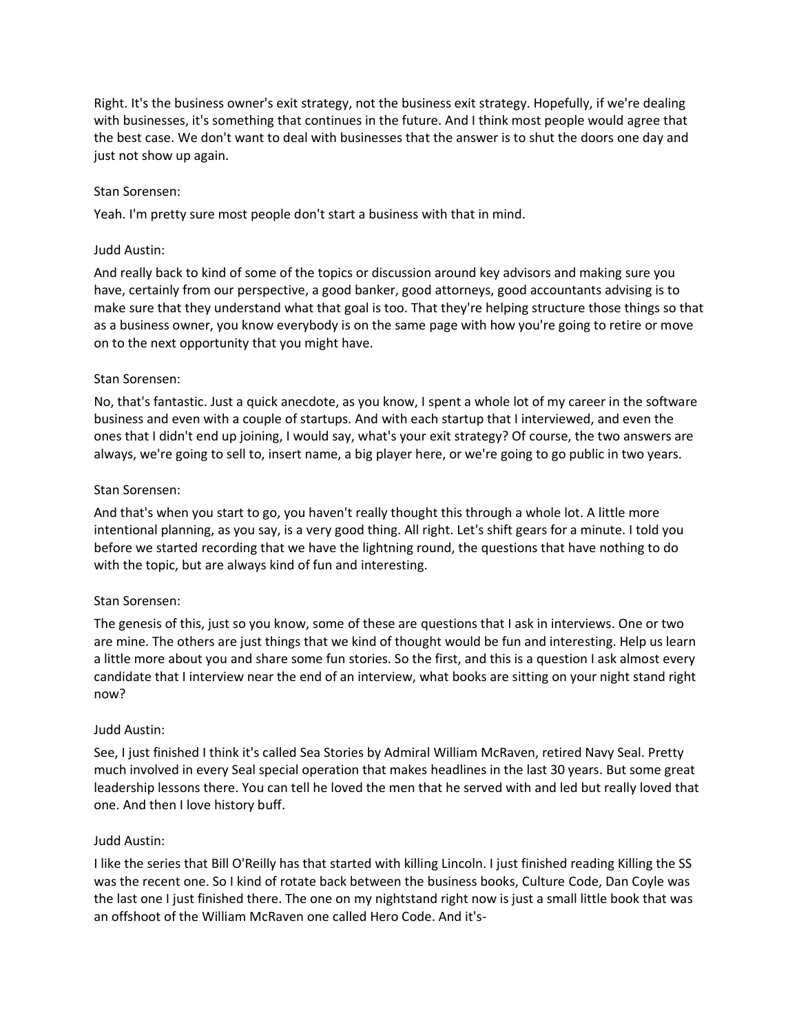Right. It's the business owner's exit strategy, not the business exit strategy. Hopefully, if we're dealing with businesses, it's something that continues in the future. And I think most people would agree that the best case. We don't want to deal with businesses that the answer is to shut the doors one day and just not show up again.

# Stan Sorensen:

Yeah. I'm pretty sure most people don't start a business with that in mind.

## Judd Austin:

And really back to kind of some of the topics or discussion around key advisors and making sure you have, certainly from our perspective, a good banker, good attorneys, good accountants advising is to make sure that they understand what that goal is too. That they're helping structure those things so that as a business owner, you know everybody is on the same page with how you're going to retire or move on to the next opportunity that you might have.

## Stan Sorensen:

No, that's fantastic. Just a quick anecdote, as you know, I spent a whole lot of my career in the software business and even with a couple of startups. And with each startup that I interviewed, and even the ones that I didn't end up joining, I would say, what's your exit strategy? Of course, the two answers are always, we're going to sell to, insert name, a big player here, or we're going to go public in two years.

## Stan Sorensen:

And that's when you start to go, you haven't really thought this through a whole lot. A little more intentional planning, as you say, is a very good thing. All right. Let's shift gears for a minute. I told you before we started recording that we have the lightning round, the questions that have nothing to do with the topic, but are always kind of fun and interesting.

# Stan Sorensen:

The genesis of this, just so you know, some of these are questions that I ask in interviews. One or two are mine. The others are just things that we kind of thought would be fun and interesting. Help us learn a little more about you and share some fun stories. So the first, and this is a question I ask almost every candidate that I interview near the end of an interview, what books are sitting on your night stand right now?

#### Judd Austin:

See, I just finished I think it's called Sea Stories by Admiral William McRaven, retired Navy Seal. Pretty much involved in every Seal special operation that makes headlines in the last 30 years. But some great leadership lessons there. You can tell he loved the men that he served with and led but really loved that one. And then I love history buff.

# Judd Austin:

I like the series that Bill O'Reilly has that started with killing Lincoln. I just finished reading Killing the SS was the recent one. So I kind of rotate back between the business books, Culture Code, Dan Coyle was the last one I just finished there. The one on my nightstand right now is just a small little book that was an offshoot of the William McRaven one called Hero Code. And it's-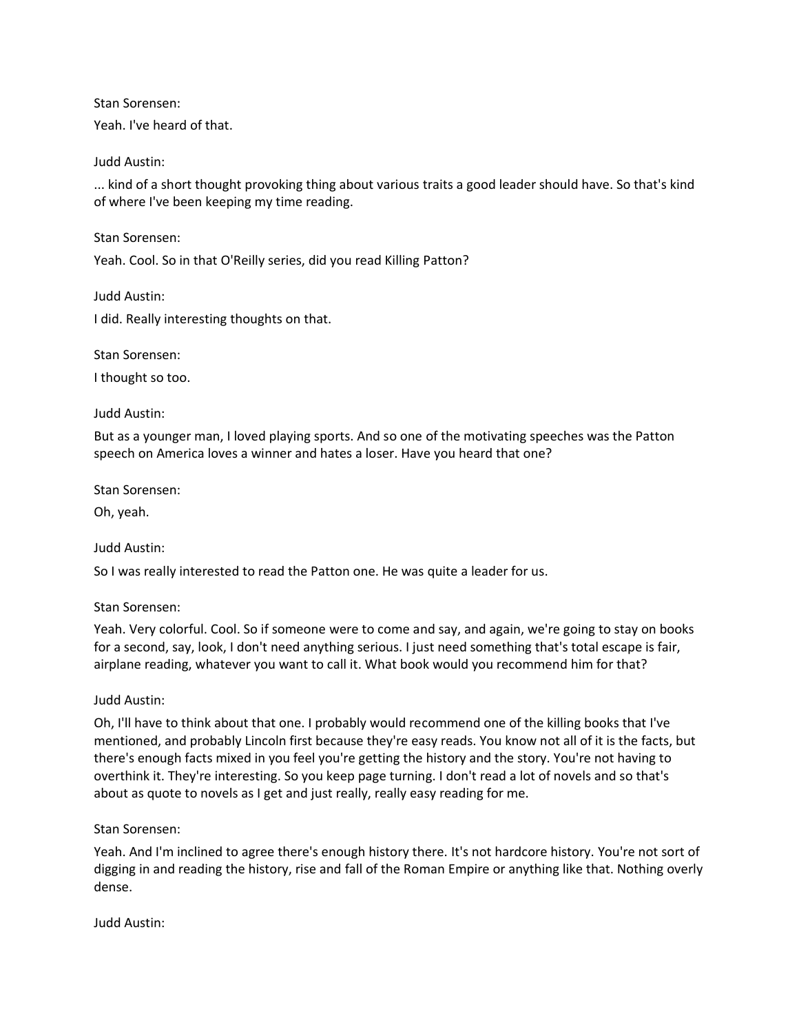Yeah. I've heard of that.

Judd Austin:

... kind of a short thought provoking thing about various traits a good leader should have. So that's kind of where I've been keeping my time reading.

Stan Sorensen:

Yeah. Cool. So in that O'Reilly series, did you read Killing Patton?

Judd Austin:

I did. Really interesting thoughts on that.

Stan Sorensen:

I thought so too.

## Judd Austin:

But as a younger man, I loved playing sports. And so one of the motivating speeches was the Patton speech on America loves a winner and hates a loser. Have you heard that one?

Stan Sorensen:

Oh, yeah.

Judd Austin:

So I was really interested to read the Patton one. He was quite a leader for us.

Stan Sorensen:

Yeah. Very colorful. Cool. So if someone were to come and say, and again, we're going to stay on books for a second, say, look, I don't need anything serious. I just need something that's total escape is fair, airplane reading, whatever you want to call it. What book would you recommend him for that?

# Judd Austin:

Oh, I'll have to think about that one. I probably would recommend one of the killing books that I've mentioned, and probably Lincoln first because they're easy reads. You know not all of it is the facts, but there's enough facts mixed in you feel you're getting the history and the story. You're not having to overthink it. They're interesting. So you keep page turning. I don't read a lot of novels and so that's about as quote to novels as I get and just really, really easy reading for me.

Stan Sorensen:

Yeah. And I'm inclined to agree there's enough history there. It's not hardcore history. You're not sort of digging in and reading the history, rise and fall of the Roman Empire or anything like that. Nothing overly dense.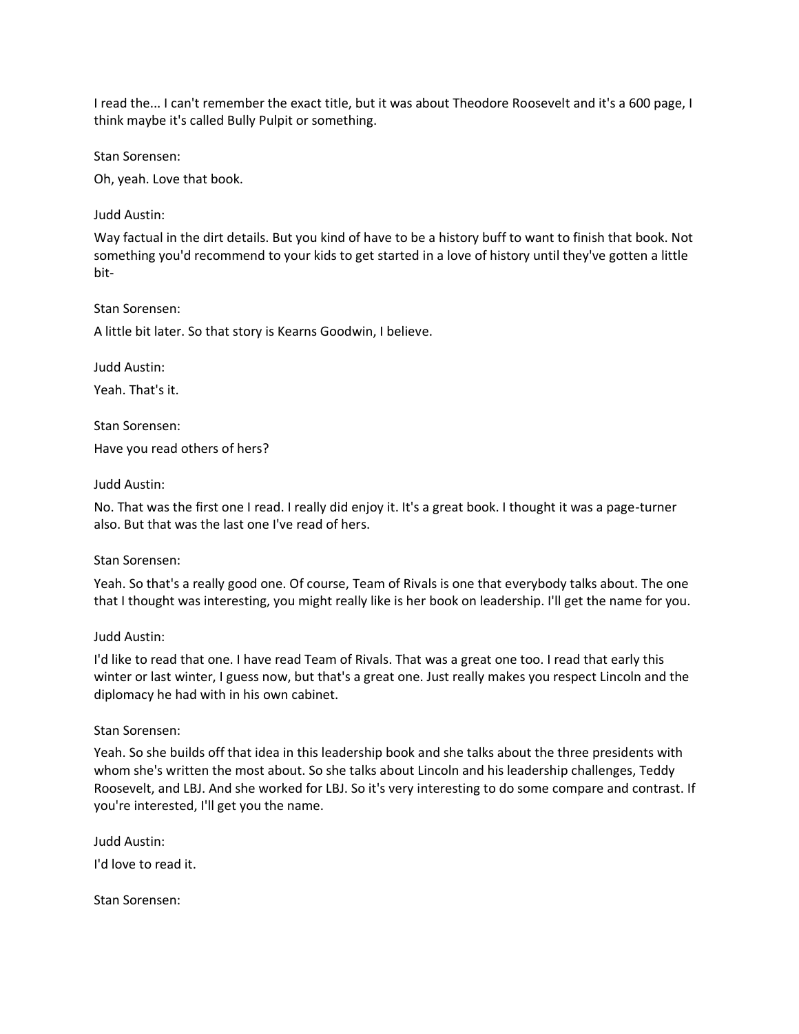I read the... I can't remember the exact title, but it was about Theodore Roosevelt and it's a 600 page, I think maybe it's called Bully Pulpit or something.

Stan Sorensen:

Oh, yeah. Love that book.

Judd Austin:

Way factual in the dirt details. But you kind of have to be a history buff to want to finish that book. Not something you'd recommend to your kids to get started in a love of history until they've gotten a little bit-

Stan Sorensen:

A little bit later. So that story is Kearns Goodwin, I believe.

Judd Austin:

Yeah. That's it.

Stan Sorensen:

Have you read others of hers?

Judd Austin:

No. That was the first one I read. I really did enjoy it. It's a great book. I thought it was a page-turner also. But that was the last one I've read of hers.

Stan Sorensen:

Yeah. So that's a really good one. Of course, Team of Rivals is one that everybody talks about. The one that I thought was interesting, you might really like is her book on leadership. I'll get the name for you.

Judd Austin:

I'd like to read that one. I have read Team of Rivals. That was a great one too. I read that early this winter or last winter, I guess now, but that's a great one. Just really makes you respect Lincoln and the diplomacy he had with in his own cabinet.

Stan Sorensen:

Yeah. So she builds off that idea in this leadership book and she talks about the three presidents with whom she's written the most about. So she talks about Lincoln and his leadership challenges, Teddy Roosevelt, and LBJ. And she worked for LBJ. So it's very interesting to do some compare and contrast. If you're interested, I'll get you the name.

Judd Austin:

I'd love to read it.

Stan Sorensen: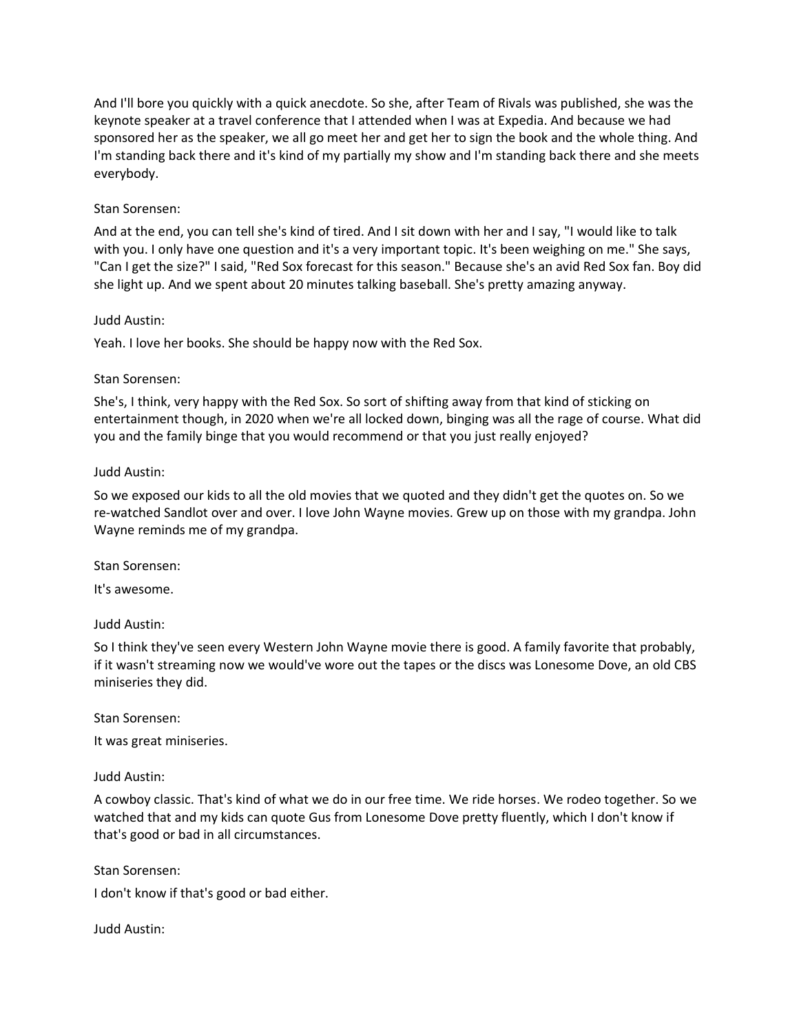And I'll bore you quickly with a quick anecdote. So she, after Team of Rivals was published, she was the keynote speaker at a travel conference that I attended when I was at Expedia. And because we had sponsored her as the speaker, we all go meet her and get her to sign the book and the whole thing. And I'm standing back there and it's kind of my partially my show and I'm standing back there and she meets everybody.

# Stan Sorensen:

And at the end, you can tell she's kind of tired. And I sit down with her and I say, "I would like to talk with you. I only have one question and it's a very important topic. It's been weighing on me." She says, "Can I get the size?" I said, "Red Sox forecast for this season." Because she's an avid Red Sox fan. Boy did she light up. And we spent about 20 minutes talking baseball. She's pretty amazing anyway.

# Judd Austin:

Yeah. I love her books. She should be happy now with the Red Sox.

# Stan Sorensen:

She's, I think, very happy with the Red Sox. So sort of shifting away from that kind of sticking on entertainment though, in 2020 when we're all locked down, binging was all the rage of course. What did you and the family binge that you would recommend or that you just really enjoyed?

# Judd Austin:

So we exposed our kids to all the old movies that we quoted and they didn't get the quotes on. So we re-watched Sandlot over and over. I love John Wayne movies. Grew up on those with my grandpa. John Wayne reminds me of my grandpa.

# Stan Sorensen:

It's awesome.

# Judd Austin:

So I think they've seen every Western John Wayne movie there is good. A family favorite that probably, if it wasn't streaming now we would've wore out the tapes or the discs was Lonesome Dove, an old CBS miniseries they did.

Stan Sorensen:

It was great miniseries.

# Judd Austin:

A cowboy classic. That's kind of what we do in our free time. We ride horses. We rodeo together. So we watched that and my kids can quote Gus from Lonesome Dove pretty fluently, which I don't know if that's good or bad in all circumstances.

Stan Sorensen:

I don't know if that's good or bad either.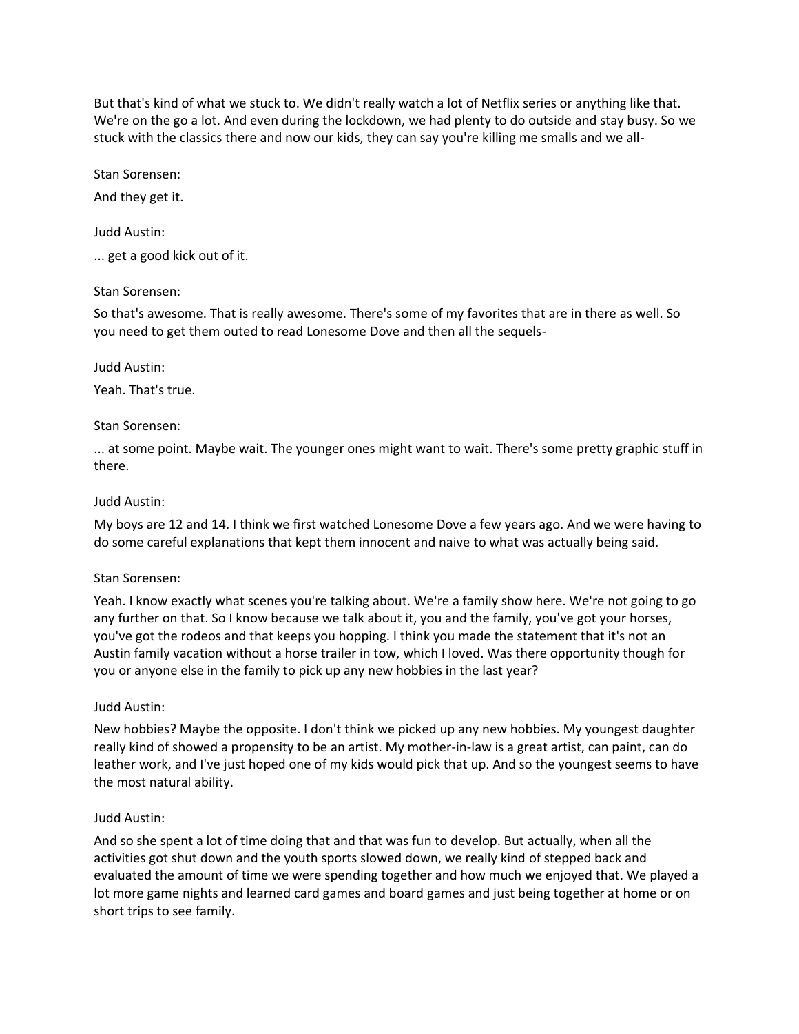But that's kind of what we stuck to. We didn't really watch a lot of Netflix series or anything like that. We're on the go a lot. And even during the lockdown, we had plenty to do outside and stay busy. So we stuck with the classics there and now our kids, they can say you're killing me smalls and we all-

Stan Sorensen:

And they get it.

Judd Austin:

... get a good kick out of it.

## Stan Sorensen:

So that's awesome. That is really awesome. There's some of my favorites that are in there as well. So you need to get them outed to read Lonesome Dove and then all the sequels-

Judd Austin:

Yeah. That's true.

## Stan Sorensen:

... at some point. Maybe wait. The younger ones might want to wait. There's some pretty graphic stuff in there.

## Judd Austin:

My boys are 12 and 14. I think we first watched Lonesome Dove a few years ago. And we were having to do some careful explanations that kept them innocent and naive to what was actually being said.

#### Stan Sorensen:

Yeah. I know exactly what scenes you're talking about. We're a family show here. We're not going to go any further on that. So I know because we talk about it, you and the family, you've got your horses, you've got the rodeos and that keeps you hopping. I think you made the statement that it's not an Austin family vacation without a horse trailer in tow, which I loved. Was there opportunity though for you or anyone else in the family to pick up any new hobbies in the last year?

# Judd Austin:

New hobbies? Maybe the opposite. I don't think we picked up any new hobbies. My youngest daughter really kind of showed a propensity to be an artist. My mother-in-law is a great artist, can paint, can do leather work, and I've just hoped one of my kids would pick that up. And so the youngest seems to have the most natural ability.

# Judd Austin:

And so she spent a lot of time doing that and that was fun to develop. But actually, when all the activities got shut down and the youth sports slowed down, we really kind of stepped back and evaluated the amount of time we were spending together and how much we enjoyed that. We played a lot more game nights and learned card games and board games and just being together at home or on short trips to see family.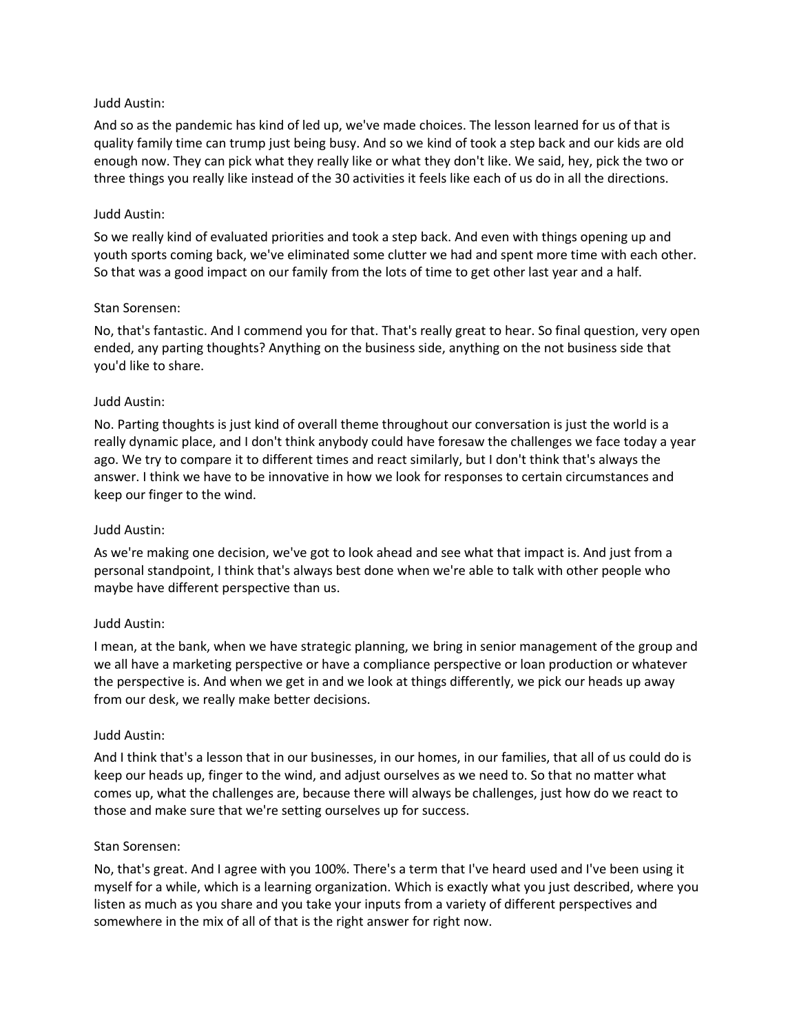And so as the pandemic has kind of led up, we've made choices. The lesson learned for us of that is quality family time can trump just being busy. And so we kind of took a step back and our kids are old enough now. They can pick what they really like or what they don't like. We said, hey, pick the two or three things you really like instead of the 30 activities it feels like each of us do in all the directions.

## Judd Austin:

So we really kind of evaluated priorities and took a step back. And even with things opening up and youth sports coming back, we've eliminated some clutter we had and spent more time with each other. So that was a good impact on our family from the lots of time to get other last year and a half.

## Stan Sorensen:

No, that's fantastic. And I commend you for that. That's really great to hear. So final question, very open ended, any parting thoughts? Anything on the business side, anything on the not business side that you'd like to share.

## Judd Austin:

No. Parting thoughts is just kind of overall theme throughout our conversation is just the world is a really dynamic place, and I don't think anybody could have foresaw the challenges we face today a year ago. We try to compare it to different times and react similarly, but I don't think that's always the answer. I think we have to be innovative in how we look for responses to certain circumstances and keep our finger to the wind.

# Judd Austin:

As we're making one decision, we've got to look ahead and see what that impact is. And just from a personal standpoint, I think that's always best done when we're able to talk with other people who maybe have different perspective than us.

# Judd Austin:

I mean, at the bank, when we have strategic planning, we bring in senior management of the group and we all have a marketing perspective or have a compliance perspective or loan production or whatever the perspective is. And when we get in and we look at things differently, we pick our heads up away from our desk, we really make better decisions.

#### Judd Austin:

And I think that's a lesson that in our businesses, in our homes, in our families, that all of us could do is keep our heads up, finger to the wind, and adjust ourselves as we need to. So that no matter what comes up, what the challenges are, because there will always be challenges, just how do we react to those and make sure that we're setting ourselves up for success.

#### Stan Sorensen:

No, that's great. And I agree with you 100%. There's a term that I've heard used and I've been using it myself for a while, which is a learning organization. Which is exactly what you just described, where you listen as much as you share and you take your inputs from a variety of different perspectives and somewhere in the mix of all of that is the right answer for right now.